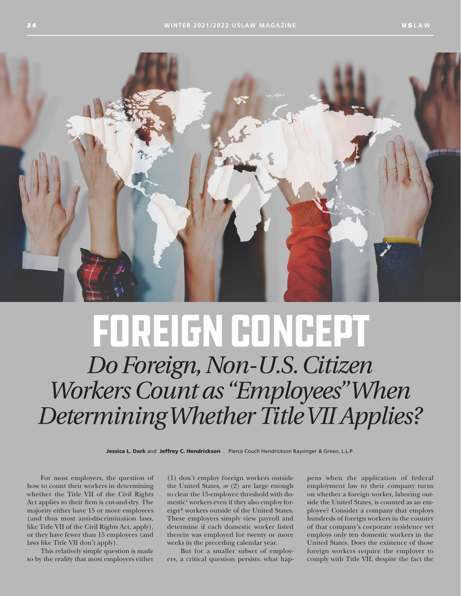

## FOREIGN CONCEPT

*Do Foreign, Non-U.S. Citizen Workers Count as "Employees" When Determining Whether Title VII Applies?*

Jessica L. Dark and Jeffrey C. Hendrickson Pierce Couch Hendrickson Baysinger & Green, L.L.P.

For most employers, the question of how to count their workers in determining whether the Title VII of the Civil Rights Act applies to their firm is cut-and-dry. The majority either have 15 or more employees (and thus most anti-discrimination laws, like Title VII of the Civil Rights Act, apply), or they have fewer than 15 employees (and laws like Title VII don't apply).

This relatively simple question is made so by the reality that most employers either

(1) don't employ foreign workers outside the United States, *or* (2) are large enough to clear the 15-employee threshold with domestic<sup>1</sup> workers even if they also employ foreign\* workers outside of the United States. These employers simply view payroll and determine if each domestic worker listed therein was employed for twenty or more weeks in the preceding calendar year.

But for a smaller subset of employers, a critical question persists: what happens when the application of federal employment law to their company turns on whether a foreign worker, laboring outside the United States, is counted as an employee? Consider a company that employs hundreds of foreign workers in the country of that company's corporate residence yet employs only ten domestic workers in the United States. Does the existence of those foreign workers require the employer to comply with Title VII, despite the fact the